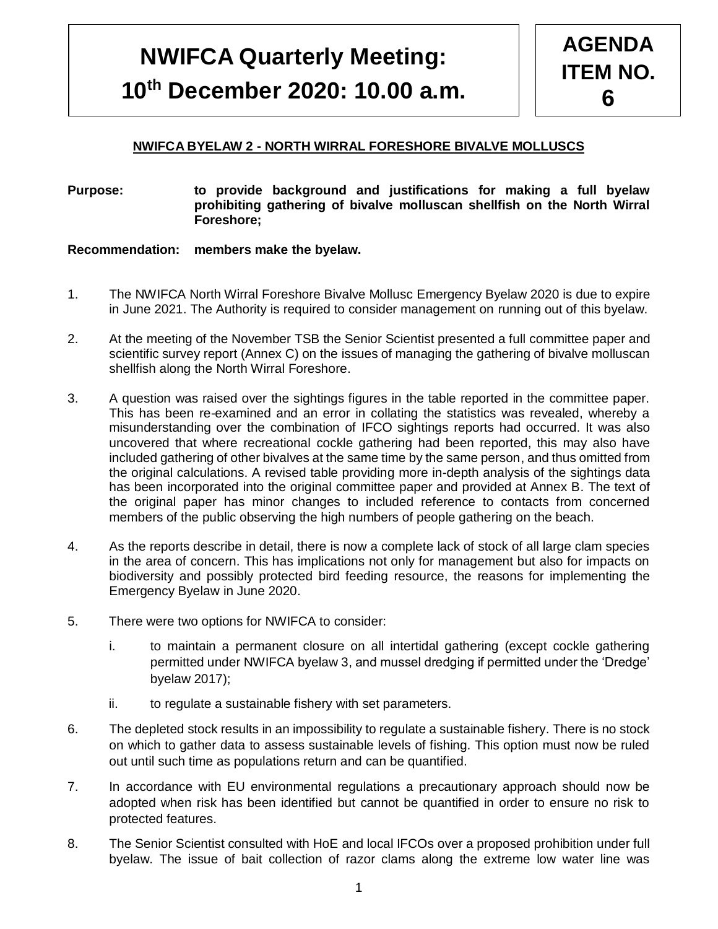# **NWIFC BYELAW REVIEW 10th December 2020: 10.00 a.m. NWIFCA Quarterly Meeting:**

# **NWIFCA BYELAW 2 - NORTH WIRRAL FORESHORE BIVALVE MOLLUSCS**

#### **Purpose: to provide background and justifications for making a full byelaw prohibiting gathering of bivalve molluscan shellfish on the North Wirral Foreshore;**

#### **Recommendation: members make the byelaw.**

 $\mathsf I$ 

- 1. The NWIFCA North Wirral Foreshore Bivalve Mollusc Emergency Byelaw 2020 is due to expire in June 2021. The Authority is required to consider management on running out of this byelaw.
- 2. At the meeting of the November TSB the Senior Scientist presented a full committee paper and scientific survey report (Annex C) on the issues of managing the gathering of bivalve molluscan shellfish along the North Wirral Foreshore.
- 3. A question was raised over the sightings figures in the table reported in the committee paper. This has been re-examined and an error in collating the statistics was revealed, whereby a misunderstanding over the combination of IFCO sightings reports had occurred. It was also uncovered that where recreational cockle gathering had been reported, this may also have included gathering of other bivalves at the same time by the same person, and thus omitted from the original calculations. A revised table providing more in-depth analysis of the sightings data has been incorporated into the original committee paper and provided at Annex B. The text of the original paper has minor changes to included reference to contacts from concerned members of the public observing the high numbers of people gathering on the beach.
- 4. As the reports describe in detail, there is now a complete lack of stock of all large clam species in the area of concern. This has implications not only for management but also for impacts on biodiversity and possibly protected bird feeding resource, the reasons for implementing the Emergency Byelaw in June 2020.
- 5. There were two options for NWIFCA to consider:
	- i. to maintain a permanent closure on all intertidal gathering (except cockle gathering permitted under NWIFCA byelaw 3, and mussel dredging if permitted under the 'Dredge' byelaw 2017);
	- ii. to regulate a sustainable fishery with set parameters.
- 6. The depleted stock results in an impossibility to regulate a sustainable fishery. There is no stock on which to gather data to assess sustainable levels of fishing. This option must now be ruled out until such time as populations return and can be quantified.
- 7. In accordance with EU environmental regulations a precautionary approach should now be adopted when risk has been identified but cannot be quantified in order to ensure no risk to protected features.
- 8. The Senior Scientist consulted with HoE and local IFCOs over a proposed prohibition under full byelaw. The issue of bait collection of razor clams along the extreme low water line was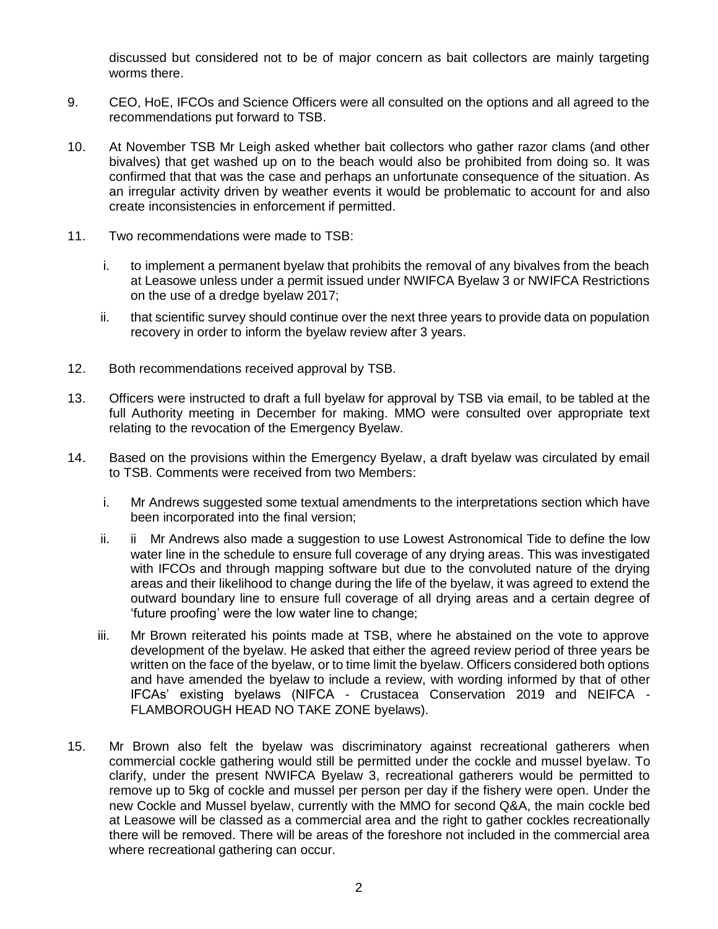discussed but considered not to be of major concern as bait collectors are mainly targeting worms there.

- 9. CEO, HoE, IFCOs and Science Officers were all consulted on the options and all agreed to the recommendations put forward to TSB.
- 10. At November TSB Mr Leigh asked whether bait collectors who gather razor clams (and other bivalves) that get washed up on to the beach would also be prohibited from doing so. It was confirmed that that was the case and perhaps an unfortunate consequence of the situation. As an irregular activity driven by weather events it would be problematic to account for and also create inconsistencies in enforcement if permitted.
- 11. Two recommendations were made to TSB:
	- i. to implement a permanent byelaw that prohibits the removal of any bivalves from the beach at Leasowe unless under a permit issued under NWIFCA Byelaw 3 or NWIFCA Restrictions on the use of a dredge byelaw 2017;
	- ii. that scientific survey should continue over the next three years to provide data on population recovery in order to inform the byelaw review after 3 years.
- 12. Both recommendations received approval by TSB.
- 13. Officers were instructed to draft a full byelaw for approval by TSB via email, to be tabled at the full Authority meeting in December for making. MMO were consulted over appropriate text relating to the revocation of the Emergency Byelaw.
- 14. Based on the provisions within the Emergency Byelaw, a draft byelaw was circulated by email to TSB. Comments were received from two Members:
	- i. Mr Andrews suggested some textual amendments to the interpretations section which have been incorporated into the final version;
	- ii. ii Mr Andrews also made a suggestion to use Lowest Astronomical Tide to define the low water line in the schedule to ensure full coverage of any drying areas. This was investigated with IFCOs and through mapping software but due to the convoluted nature of the drying areas and their likelihood to change during the life of the byelaw, it was agreed to extend the outward boundary line to ensure full coverage of all drying areas and a certain degree of 'future proofing' were the low water line to change;
	- iii. Mr Brown reiterated his points made at TSB, where he abstained on the vote to approve development of the byelaw. He asked that either the agreed review period of three years be written on the face of the byelaw, or to time limit the byelaw. Officers considered both options and have amended the byelaw to include a review, with wording informed by that of other IFCAs' existing byelaws (NIFCA - Crustacea Conservation 2019 and NEIFCA - FLAMBOROUGH HEAD NO TAKE ZONE byelaws).
- 15. Mr Brown also felt the byelaw was discriminatory against recreational gatherers when commercial cockle gathering would still be permitted under the cockle and mussel byelaw. To clarify, under the present NWIFCA Byelaw 3, recreational gatherers would be permitted to remove up to 5kg of cockle and mussel per person per day if the fishery were open. Under the new Cockle and Mussel byelaw, currently with the MMO for second Q&A, the main cockle bed at Leasowe will be classed as a commercial area and the right to gather cockles recreationally there will be removed. There will be areas of the foreshore not included in the commercial area where recreational gathering can occur.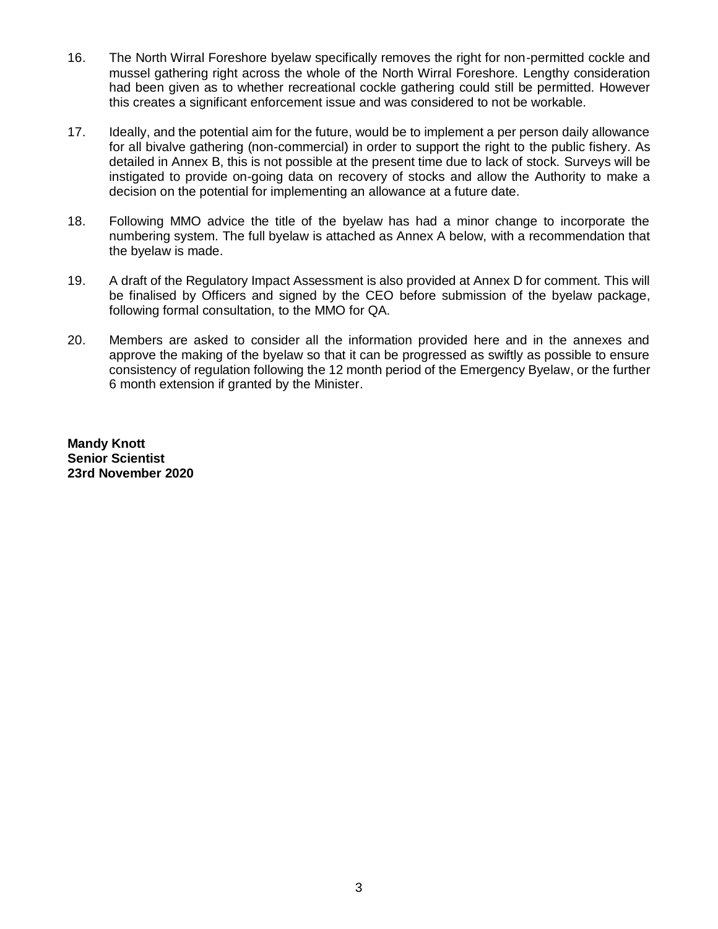- 16. The North Wirral Foreshore byelaw specifically removes the right for non-permitted cockle and mussel gathering right across the whole of the North Wirral Foreshore. Lengthy consideration had been given as to whether recreational cockle gathering could still be permitted. However this creates a significant enforcement issue and was considered to not be workable.
- 17. Ideally, and the potential aim for the future, would be to implement a per person daily allowance for all bivalve gathering (non-commercial) in order to support the right to the public fishery. As detailed in Annex B, this is not possible at the present time due to lack of stock. Surveys will be instigated to provide on-going data on recovery of stocks and allow the Authority to make a decision on the potential for implementing an allowance at a future date.
- 18. Following MMO advice the title of the byelaw has had a minor change to incorporate the numbering system. The full byelaw is attached as Annex A below, with a recommendation that the byelaw is made.
- 19. A draft of the Regulatory Impact Assessment is also provided at Annex D for comment. This will be finalised by Officers and signed by the CEO before submission of the byelaw package, following formal consultation, to the MMO for QA.
- 20. Members are asked to consider all the information provided here and in the annexes and approve the making of the byelaw so that it can be progressed as swiftly as possible to ensure consistency of regulation following the 12 month period of the Emergency Byelaw, or the further 6 month extension if granted by the Minister.

**Mandy Knott Senior Scientist 23rd November 2020**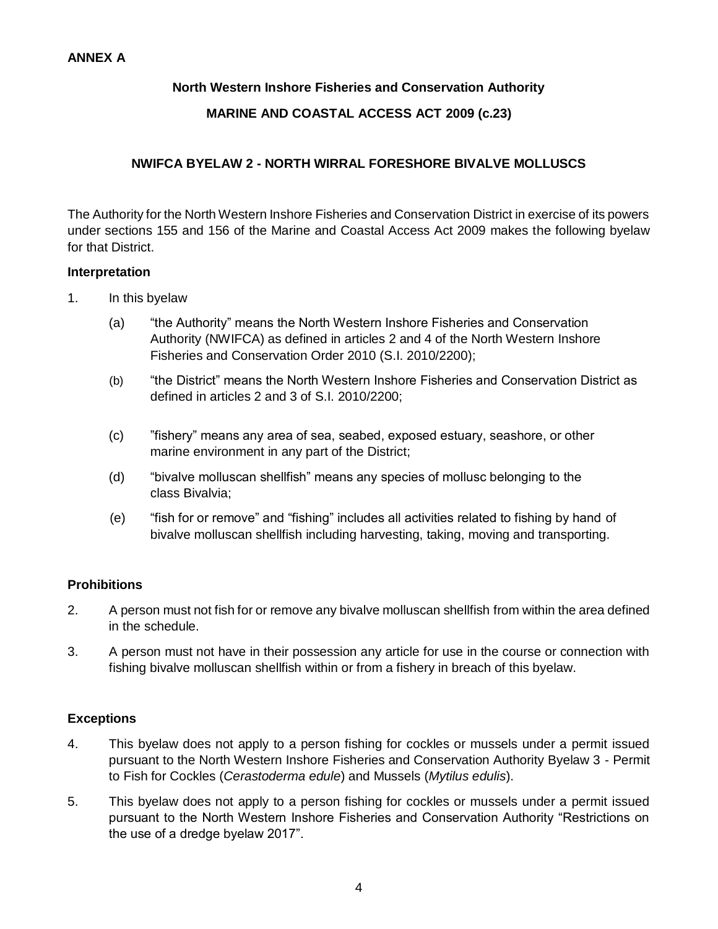# **North Western Inshore Fisheries and Conservation Authority**

## **MARINE AND COASTAL ACCESS ACT 2009 (c.23)**

## **NWIFCA BYELAW 2 - NORTH WIRRAL FORESHORE BIVALVE MOLLUSCS**

The Authority for the North Western Inshore Fisheries and Conservation District in exercise of its powers under sections 155 and 156 of the Marine and Coastal Access Act 2009 makes the following byelaw for that District.

#### **Interpretation**

- 1. In this byelaw
	- (a) "the Authority" means the North Western Inshore Fisheries and Conservation Authority (NWIFCA) as defined in articles 2 and 4 of the North Western Inshore Fisheries and Conservation Order 2010 (S.I. 2010/2200);
	- (b) "the District" means the North Western Inshore Fisheries and Conservation District as defined in articles 2 and 3 of S.I. 2010/2200;
	- (c) "fishery" means any area of sea, seabed, exposed estuary, seashore, or other marine environment in any part of the District;
	- (d) "bivalve molluscan shellfish" means any species of mollusc belonging to the class Bivalvia;
	- (e) "fish for or remove" and "fishing" includes all activities related to fishing by hand of bivalve molluscan shellfish including harvesting, taking, moving and transporting.

## **Prohibitions**

- 2. A person must not fish for or remove any bivalve molluscan shellfish from within the area defined in the schedule.
- 3. A person must not have in their possession any article for use in the course or connection with fishing bivalve molluscan shellfish within or from a fishery in breach of this byelaw.

## **Exceptions**

- 4. This byelaw does not apply to a person fishing for cockles or mussels under a permit issued pursuant to the North Western Inshore Fisheries and Conservation Authority Byelaw 3 - Permit to Fish for Cockles (*Cerastoderma edule*) and Mussels (*Mytilus edulis*).
- 5. This byelaw does not apply to a person fishing for cockles or mussels under a permit issued pursuant to the North Western Inshore Fisheries and Conservation Authority "Restrictions on the use of a dredge byelaw 2017".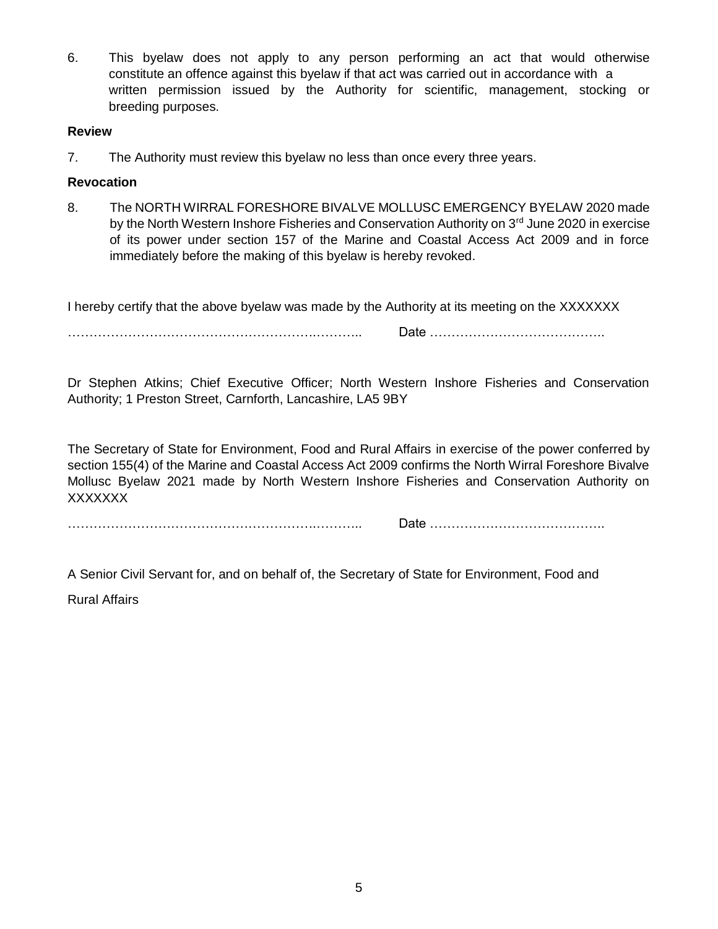6. This byelaw does not apply to any person performing an act that would otherwise constitute an offence against this byelaw if that act was carried out in accordance with a written permission issued by the Authority for scientific, management, stocking or breeding purposes.

#### **Review**

7. The Authority must review this byelaw no less than once every three years.

## **Revocation**

8. The NORTH WIRRAL FORESHORE BIVALVE MOLLUSC EMERGENCY BYELAW 2020 made by the North Western Inshore Fisheries and Conservation Authority on 3<sup>rd</sup> June 2020 in exercise of its power under section 157 of the Marine and Coastal Access Act 2009 and in force immediately before the making of this byelaw is hereby revoked.

I hereby certify that the above byelaw was made by the Authority at its meeting on the XXXXXXX

………………………………………………….……….. Date …………………………………..

Dr Stephen Atkins; Chief Executive Officer; North Western Inshore Fisheries and Conservation Authority; 1 Preston Street, Carnforth, Lancashire, LA5 9BY

The Secretary of State for Environment, Food and Rural Affairs in exercise of the power conferred by section 155(4) of the Marine and Coastal Access Act 2009 confirms the North Wirral Foreshore Bivalve Mollusc Byelaw 2021 made by North Western Inshore Fisheries and Conservation Authority on XXXXXXX

………………………………………………….……….. Date …………………………………..

A Senior Civil Servant for, and on behalf of, the Secretary of State for Environment, Food and

Rural Affairs